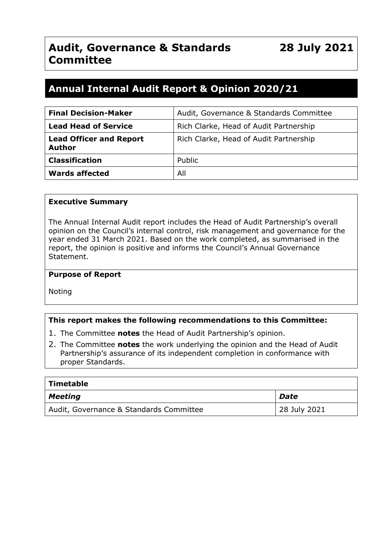# **Annual Internal Audit Report & Opinion 2020/21**

| <b>Final Decision-Maker</b>                     | Audit, Governance & Standards Committee |
|-------------------------------------------------|-----------------------------------------|
| <b>Lead Head of Service</b>                     | Rich Clarke, Head of Audit Partnership  |
| <b>Lead Officer and Report</b><br><b>Author</b> | Rich Clarke, Head of Audit Partnership  |
| <b>Classification</b>                           | Public                                  |
| <b>Wards affected</b>                           | All                                     |

#### **Executive Summary**

The Annual Internal Audit report includes the Head of Audit Partnership's overall opinion on the Council's internal control, risk management and governance for the year ended 31 March 2021. Based on the work completed, as summarised in the report, the opinion is positive and informs the Council's Annual Governance Statement.

#### **Purpose of Report**

Noting

#### **This report makes the following recommendations to this Committee:**

- 1. The Committee **notes** the Head of Audit Partnership's opinion.
- 2. The Committee **notes** the work underlying the opinion and the Head of Audit Partnership's assurance of its independent completion in conformance with proper Standards.

| <b>Timetable</b>                        |              |  |  |
|-----------------------------------------|--------------|--|--|
| <b>Meeting</b>                          | Date         |  |  |
| Audit, Governance & Standards Committee | 28 July 2021 |  |  |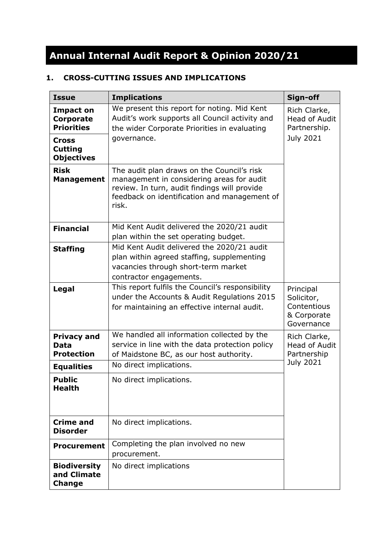# **Annual Internal Audit Report & Opinion 2020/21**

# **1. CROSS-CUTTING ISSUES AND IMPLICATIONS**

| <b>Issue</b>                                           | <b>Implications</b>                                                                                                                                                                              | Sign-off                                                            |
|--------------------------------------------------------|--------------------------------------------------------------------------------------------------------------------------------------------------------------------------------------------------|---------------------------------------------------------------------|
| Impact on<br><b>Corporate</b><br><b>Priorities</b>     | We present this report for noting. Mid Kent<br>Audit's work supports all Council activity and<br>the wider Corporate Priorities in evaluating                                                    | Rich Clarke,<br><b>Head of Audit</b><br>Partnership.                |
| <b>Cross</b><br><b>Cutting</b><br><b>Objectives</b>    | governance.                                                                                                                                                                                      | <b>July 2021</b>                                                    |
| <b>Risk</b><br><b>Management</b>                       | The audit plan draws on the Council's risk<br>management in considering areas for audit<br>review. In turn, audit findings will provide<br>feedback on identification and management of<br>risk. |                                                                     |
| <b>Financial</b>                                       | Mid Kent Audit delivered the 2020/21 audit<br>plan within the set operating budget.                                                                                                              |                                                                     |
| <b>Staffing</b>                                        | Mid Kent Audit delivered the 2020/21 audit<br>plan within agreed staffing, supplementing<br>vacancies through short-term market<br>contractor engagements.                                       |                                                                     |
| <b>Legal</b>                                           | This report fulfils the Council's responsibility<br>under the Accounts & Audit Regulations 2015<br>for maintaining an effective internal audit.                                                  | Principal<br>Solicitor,<br>Contentious<br>& Corporate<br>Governance |
| <b>Privacy and</b><br><b>Data</b><br><b>Protection</b> | We handled all information collected by the<br>service in line with the data protection policy<br>of Maidstone BC, as our host authority.                                                        | Rich Clarke,<br><b>Head of Audit</b><br>Partnership                 |
| <b>Equalities</b>                                      | No direct implications.                                                                                                                                                                          | <b>July 2021</b>                                                    |
| <b>Public</b><br><b>Health</b>                         | No direct implications.                                                                                                                                                                          |                                                                     |
| <b>Crime and</b><br><b>Disorder</b>                    | No direct implications.                                                                                                                                                                          |                                                                     |
| <b>Procurement</b>                                     | Completing the plan involved no new<br>procurement.                                                                                                                                              |                                                                     |
| <b>Biodiversity</b><br>and Climate<br><b>Change</b>    | No direct implications                                                                                                                                                                           |                                                                     |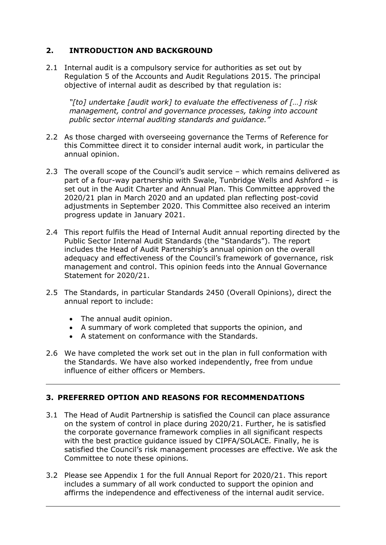# **2. INTRODUCTION AND BACKGROUND**

2.1 Internal audit is a compulsory service for authorities as set out by Regulation 5 of the Accounts and Audit Regulations 2015. The principal objective of internal audit as described by that regulation is:

*"[to] undertake [audit work] to evaluate the effectiveness of […] risk management, control and governance processes, taking into account public sector internal auditing standards and guidance."*

- 2.2 As those charged with overseeing governance the Terms of Reference for this Committee direct it to consider internal audit work, in particular the annual opinion.
- 2.3 The overall scope of the Council's audit service which remains delivered as part of a four-way partnership with Swale, Tunbridge Wells and Ashford – is set out in the Audit Charter and Annual Plan. This Committee approved the 2020/21 plan in March 2020 and an updated plan reflecting post-covid adjustments in September 2020. This Committee also received an interim progress update in January 2021.
- 2.4 This report fulfils the Head of Internal Audit annual reporting directed by the Public Sector Internal Audit Standards (the "Standards"). The report includes the Head of Audit Partnership's annual opinion on the overall adequacy and effectiveness of the Council's framework of governance, risk management and control. This opinion feeds into the Annual Governance Statement for 2020/21.
- 2.5 The Standards, in particular Standards 2450 (Overall Opinions), direct the annual report to include:
	- The annual audit opinion.
	- A summary of work completed that supports the opinion, and
	- A statement on conformance with the Standards.
- 2.6 We have completed the work set out in the plan in full conformation with the Standards. We have also worked independently, free from undue influence of either officers or Members.

#### **3. PREFERRED OPTION AND REASONS FOR RECOMMENDATIONS**

- 3.1 The Head of Audit Partnership is satisfied the Council can place assurance on the system of control in place during 2020/21. Further, he is satisfied the corporate governance framework complies in all significant respects with the best practice guidance issued by CIPFA/SOLACE. Finally, he is satisfied the Council's risk management processes are effective. We ask the Committee to note these opinions.
- 3.2 Please see Appendix 1 for the full Annual Report for 2020/21. This report includes a summary of all work conducted to support the opinion and affirms the independence and effectiveness of the internal audit service.